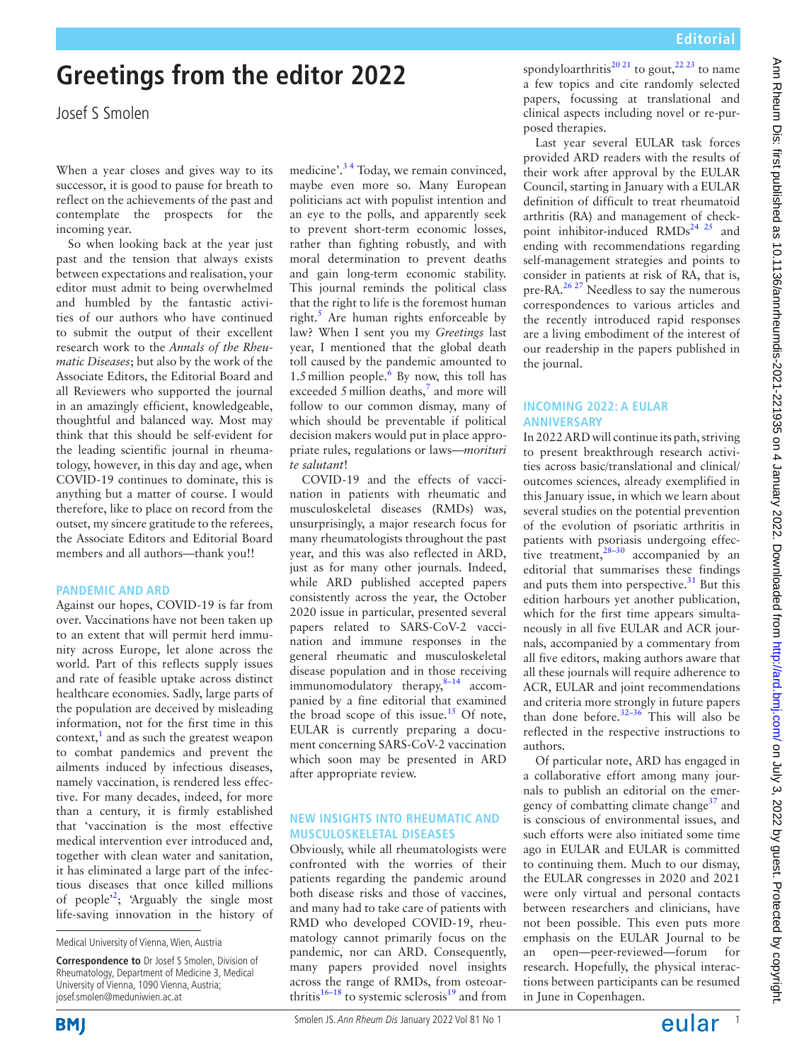# **Greetings from the editor 2022**

Josef S Smolen

When a year closes and gives way to its successor, it is good to pause for breath to reflect on the achievements of the past and contemplate the prospects for the incoming year.

So when looking back at the year just past and the tension that always exists between expectations and realisation, your editor must admit to being overwhelmed and humbled by the fantastic activities of our authors who have continued to submit the output of their excellent research work to the *Annals of the Rheumatic Diseases*; but also by the work of the Associate Editors, the Editorial Board and all Reviewers who supported the journal in an amazingly efficient, knowledgeable, thoughtful and balanced way. Most may think that this should be self-evident for the leading scientific journal in rheumatology, however, in this day and age, when COVID-19 continues to dominate, this is anything but a matter of course. I would therefore, like to place on record from the outset, my sincere gratitude to the referees, the Associate Editors and Editorial Board members and all authors—thank you!!

#### **PANDEMIC AND ARD**

Against our hopes, COVID-19 is far from over. Vaccinations have not been taken up to an extent that will permit herd immunity across Europe, let alone across the world. Part of this reflects supply issues and rate of feasible uptake across distinct healthcare economies. Sadly, large parts of the population are deceived by misleading information, not for the first time in this context, $<sup>1</sup>$  $<sup>1</sup>$  $<sup>1</sup>$  and as such the greatest weapon</sup> to combat pandemics and prevent the ailments induced by infectious diseases, namely vaccination, is rendered less effective. For many decades, indeed, for more than a century, it is firmly established that 'vaccination is the most effective medical intervention ever introduced and, together with clean water and sanitation, it has eliminated a large part of the infectious diseases that once killed millions of people<sup> $2$ </sup>; 'Arguably the single most life-saving innovation in the history of

Medical University of Vienna, Wien, Austria

**Correspondence to** Dr Josef S Smolen, Division of Rheumatology, Department of Medicine 3, Medical University of Vienna, 1090 Vienna, Austria; josef.smolen@meduniwien.ac.at

medicine'.<sup>34</sup> Today, we remain convinced, maybe even more so. Many European politicians act with populist intention and an eye to the polls, and apparently seek to prevent short-term economic losses, rather than fighting robustly, and with moral determination to prevent deaths and gain long-term economic stability. This journal reminds the political class that the right to life is the foremost human right.<sup>[5](#page-1-3)</sup> Are human rights enforceable by law? When I sent you my *Greetings* last year, I mentioned that the global death toll caused by the pandemic amounted to 1.5 million people.<sup>[6](#page-1-4)</sup> By now, this toll has exceeded 5 million deaths, $^7$  and more will follow to our common dismay, many of which should be preventable if political decision makers would put in place appropriate rules, regulations or laws*—morituri te salutant*!

COVID-19 and the effects of vaccination in patients with rheumatic and musculoskeletal diseases (RMDs) was, unsurprisingly, a major research focus for many rheumatologists throughout the past year, and this was also reflected in ARD, just as for many other journals. Indeed, while ARD published accepted papers consistently across the year, the October 2020 issue in particular, presented several papers related to SARS-CoV-2 vaccination and immune responses in the general rheumatic and musculoskeletal disease population and in those receiving immunomodulatory therapy, $8-14$  accompanied by a fine editorial that examined the broad scope of this issue.<sup>[15](#page-1-7)</sup> Of note, EULAR is currently preparing a document concerning SARS-CoV-2 vaccination which soon may be presented in ARD after appropriate review.

#### **NEW INSIGHTS INTO RHEUMATIC AND MUSCULOSKELETAL DISEASES**

Obviously, while all rheumatologists were confronted with the worries of their patients regarding the pandemic around both disease risks and those of vaccines, and many had to take care of patients with RMD who developed COVID-19, rheumatology cannot primarily focus on the pandemic, nor can ARD. Consequently, many papers provided novel insights across the range of RMDs, from osteoarthritis<sup>16–18</sup> to systemic sclerosis<sup>19</sup> and from

**Editorial**

Last year several EULAR task forces provided ARD readers with the results of their work after approval by the EULAR Council, starting in January with a EULAR definition of difficult to treat rheumatoid arthritis (RA) and management of checkpoint inhibitor-induced RMDs<sup>24</sup> <sup>25</sup> and ending with recommendations regarding self-management strategies and points to consider in patients at risk of RA, that is, pre-RA.<sup>26,27</sup> Needless to say the numerous correspondences to various articles and the recently introduced rapid responses are a living embodiment of the interest of our readership in the papers published in the journal.

#### **INCOMING 2022: A EULAR ANNIVERSARY**

In 2022 ARD will continue its path, striving to present breakthrough research activities across basic/translational and clinical/ outcomes sciences, already exemplified in this January issue, in which we learn about several studies on the potential prevention of the evolution of psoriatic arthritis in patients with psoriasis undergoing effective treatment, $28-30$  accompanied by an editorial that summarises these findings and puts them into perspective. $31$  But this edition harbours yet another publication, which for the first time appears simultaneously in all five EULAR and ACR journals, accompanied by a commentary from all five editors, making authors aware that all these journals will require adherence to ACR, EULAR and joint recommendations and criteria more strongly in future papers than done before.<sup>32-36</sup> This will also be reflected in the respective instructions to authors.

Of particular note, ARD has engaged in a collaborative effort among many journals to publish an editorial on the emer-gency of combatting climate change<sup>[37](#page-2-0)</sup> and is conscious of environmental issues, and such efforts were also initiated some time ago in EULAR and EULAR is committed to continuing them. Much to our dismay, the EULAR congresses in 2020 and 2021 were only virtual and personal contacts between researchers and clinicians, have not been possible. This even puts more emphasis on the EULAR Journal to be an open—peer-reviewed—forum for research. Hopefully, the physical interactions between participants can be resumed in June in Copenhagen.

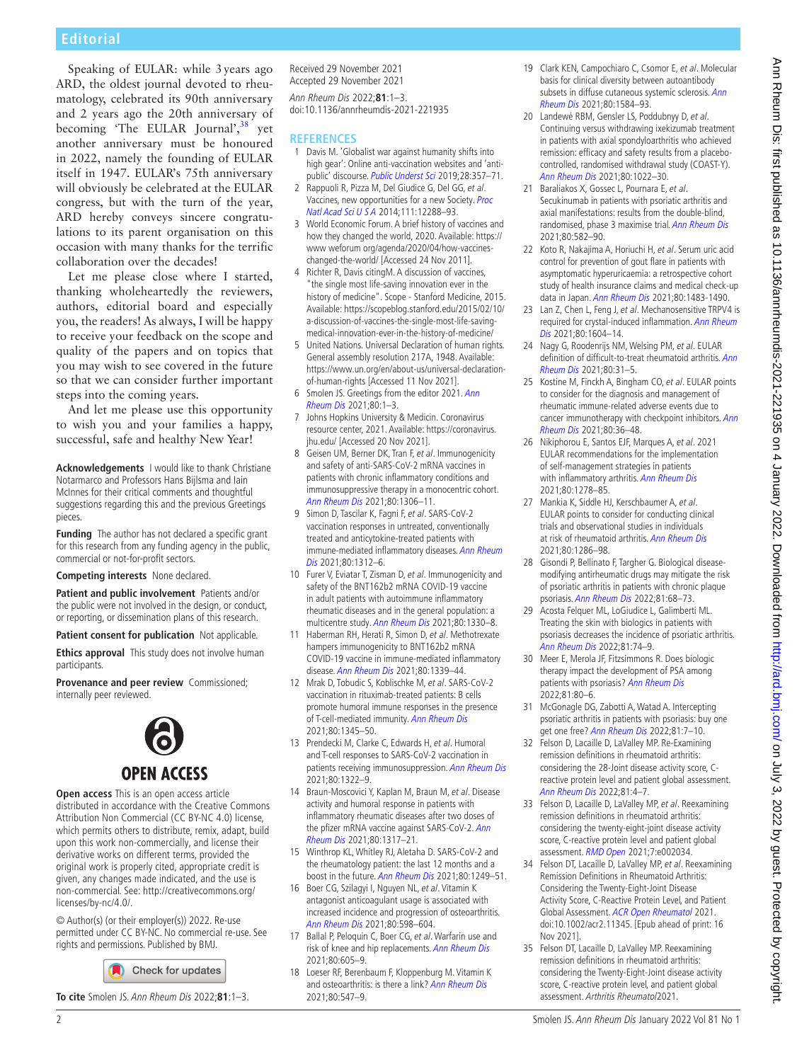### **Editorial**

Speaking of EULAR: while 3years ago ARD, the oldest journal devoted to rheumatology, celebrated its 90th anniversary and 2 years ago the 20th anniversary of becoming 'The EULAR Journal',<sup>38</sup> yet another anniversary must be honoured in 2022, namely the founding of EULAR itself in 1947. EULAR's 75th anniversary will obviously be celebrated at the EULAR congress, but with the turn of the year, ARD hereby conveys sincere congratulations to its parent organisation on this occasion with many thanks for the terrific collaboration over the decades!

Let me please close where I started, thanking wholeheartedly the reviewers, authors, editorial board and especially you, the readers! As always, I will be happy to receive your feedback on the scope and quality of the papers and on topics that you may wish to see covered in the future so that we can consider further important steps into the coming years.

And let me please use this opportunity to wish you and your families a happy, successful, safe and healthy New Year!

**Acknowledgements** I would like to thank Christiane Notarmarco and Professors Hans Bijlsma and Iain McInnes for their critical comments and thoughtful suggestions regarding this and the previous Greetings pieces.

**Funding** The author has not declared a specific grant for this research from any funding agency in the public, commercial or not-for-profit sectors.

**Competing interests** None declared.

**Patient and public involvement** Patients and/or the public were not involved in the design, or conduct, or reporting, or dissemination plans of this research.

**Patient consent for publication** Not applicable.

**Ethics approval** This study does not involve human participants.

**Provenance and peer review** Commissioned; internally peer reviewed.



**Open access** This is an open access article distributed in accordance with the Creative Commons Attribution Non Commercial (CC BY-NC 4.0) license, which permits others to distribute, remix, adapt, build upon this work non-commercially, and license their derivative works on different terms, provided the original work is properly cited, appropriate credit is given, any changes made indicated, and the use is non-commercial. See: [http://creativecommons.org/](http://creativecommons.org/licenses/by-nc/4.0/) [licenses/by-nc/4.0/](http://creativecommons.org/licenses/by-nc/4.0/).

© Author(s) (or their employer(s)) 2022. Re-use permitted under CC BY-NC. No commercial re-use. See rights and permissions. Published by BMJ.

Check for updates

**To cite** Smolen JS. Ann Rheum Dis 2022;**81**:1–3.

Received 29 November 2021 Accepted 29 November 2021 Ann Rheum Dis 2022;**81**:1–3. doi:10.1136/annrheumdis-2021-221935

#### **REFERENCES**

- <span id="page-1-0"></span>1 Davis M. 'Globalist war against humanity shifts into high gear': Online anti-vaccination websites and 'anti-public' discourse. [Public Underst Sci](http://dx.doi.org/10.1177/0963662518817187) 2019;28:357-71.
- <span id="page-1-1"></span>2 Rappuoli R, Pizza M, Del Giudice G, Del GG, et al. Vaccines, new opportunities for a new Society. [Proc](http://dx.doi.org/10.1073/pnas.1402981111)  [Natl Acad Sci U S A](http://dx.doi.org/10.1073/pnas.1402981111) 2014;111:12288–93.
- <span id="page-1-2"></span>3 World Economic Forum. A brief history of vaccines and how they changed the world, 2020. Available: [https://](https://www%20weforum%20org/agenda/2020/04/how-vaccines-changed-the-world/) [www weforum org/agenda/2020/04/how-vaccines](https://www%20weforum%20org/agenda/2020/04/how-vaccines-changed-the-world/)[changed-the-world/](https://www%20weforum%20org/agenda/2020/04/how-vaccines-changed-the-world/) [Accessed 24 Nov 2011].
- 4 Richter R, Davis citingM. A discussion of vaccines, "the single most life-saving innovation ever in the history of medicine". Scope - Stanford Medicine, 2015. Available: [https://scopeblog.stanford.edu/2015/02/10/](https://scopeblog.stanford.edu/2015/02/10/a-discussion-of-vaccines-the-single-most-life-saving-medical-innovation-ever-in-the-history-of-medicine/) [a-discussion-of-vaccines-the-single-most-life-saving](https://scopeblog.stanford.edu/2015/02/10/a-discussion-of-vaccines-the-single-most-life-saving-medical-innovation-ever-in-the-history-of-medicine/)[medical-innovation-ever-in-the-history-of-medicine/](https://scopeblog.stanford.edu/2015/02/10/a-discussion-of-vaccines-the-single-most-life-saving-medical-innovation-ever-in-the-history-of-medicine/)
- <span id="page-1-3"></span>5 United Nations. Universal Declaration of human rights. General assembly resolution 217A, 1948. Available: [https://www.un.org/en/about-us/universal-declaration](https://www.un.org/en/about-us/universal-declaration-of-human-rights)[of-human-rights](https://www.un.org/en/about-us/universal-declaration-of-human-rights) [Accessed 11 Nov 2021].
- <span id="page-1-4"></span>6 Smolen JS. Greetings from the editor 2021. Ann [Rheum Dis](http://dx.doi.org/10.1136/annrheumdis-2020-219628) 2021;80:1–3.
- <span id="page-1-5"></span>7 Johns Hopkins University & Medicin. Coronavirus resource center, 2021. Available: [https://coronavirus.](https://coronavirus.jhu.edu/) [jhu.edu/](https://coronavirus.jhu.edu/) [Accessed 20 Nov 2021].
- <span id="page-1-6"></span>8 Geisen UM, Berner DK, Tran F, et al. Immunogenicity and safety of anti-SARS-CoV-2 mRNA vaccines in patients with chronic inflammatory conditions and immunosuppressive therapy in a monocentric cohort. [Ann Rheum Dis](http://dx.doi.org/10.1136/annrheumdis-2021-220272) 2021;80:1306-11.
- 9 Simon D, Tascilar K, Fagni F, et al. SARS-CoV-2 vaccination responses in untreated, conventionally treated and anticytokine-treated patients with immune-mediated inflammatory diseases. Ann Rheum [Dis](http://dx.doi.org/10.1136/annrheumdis-2021-220461) 2021;80:1312–6.
- 10 Furer V, Eviatar T, Zisman D, et al. Immunogenicity and safety of the BNT162b2 mRNA COVID-19 vaccine in adult patients with autoimmune inflammatory rheumatic diseases and in the general population: a multicentre study. [Ann Rheum Dis](http://dx.doi.org/10.1136/annrheumdis-2021-220647) 2021;80:1330–8.
- 11 Haberman RH, Herati R, Simon D, et al. Methotrexate hampers immunogenicity to BNT162b2 mRNA COVID-19 vaccine in immune-mediated inflammatory disease. [Ann Rheum Dis](http://dx.doi.org/10.1136/annrheumdis-2021-220597) 2021;80:1339–44.
- 12 Mrak D, Tobudic S, Koblischke M, et al. SARS-CoV-2 vaccination in rituximab-treated patients: B cells promote humoral immune responses in the presence of T-cell-mediated immunity. [Ann Rheum Dis](http://dx.doi.org/10.1136/annrheumdis-2021-220781) 2021;80:1345–50.
- 13 Prendecki M, Clarke C, Edwards H, et al. Humoral and T-cell responses to SARS-CoV-2 vaccination in patients receiving immunosuppression. [Ann Rheum Dis](http://dx.doi.org/10.1136/annrheumdis-2021-220626) 2021;80:1322–9.
- 14 Braun-Moscovici Y, Kaplan M, Braun M, et al. Disease activity and humoral response in patients with inflammatory rheumatic diseases after two doses of the pfizer mRNA vaccine against SARS-CoV-2. Ann [Rheum Dis](http://dx.doi.org/10.1136/annrheumdis-2021-220503) 2021;80:1317–21.
- <span id="page-1-7"></span>15 Winthrop KL, Whitley RJ, Aletaha D. SARS-CoV-2 and the rheumatology patient: the last 12 months and a boost in the future. [Ann Rheum Dis](http://dx.doi.org/10.1136/annrheumdis-2021-221251) 2021;80:1249–51.
- <span id="page-1-8"></span>16 Boer CG, Szilagyi I, Nguyen NL, et al. Vitamin K antagonist anticoagulant usage is associated with increased incidence and progression of osteoarthritis. [Ann Rheum Dis](http://dx.doi.org/10.1136/annrheumdis-2020-219483) 2021;80:598–604.
- 17 Ballal P, Peloquin C, Boer CG, et al. Warfarin use and risk of knee and hip replacements. [Ann Rheum Dis](http://dx.doi.org/10.1136/annrheumdis-2020-219646) 2021;80:605–9.
- 18 Loeser RF, Berenbaum F, Kloppenburg M. Vitamin K and osteoarthritis: is there a link? [Ann Rheum Dis](http://dx.doi.org/10.1136/annrheumdis-2020-219765) 2021;80:547–9.
- <span id="page-1-9"></span>19 Clark KEN, Campochiaro C, Csomor E, et al. Molecular basis for clinical diversity between autoantibody subsets in diffuse cutaneous systemic sclerosis. Ann [Rheum Dis](http://dx.doi.org/10.1136/annrheumdis-2021-220402) 2021;80:1584–93.
- <span id="page-1-10"></span>20 Landewé RBM, Gensler LS, Poddubnyy D, et al. Continuing versus withdrawing ixekizumab treatment in patients with axial spondyloarthritis who achieved remission: efficacy and safety results from a placebocontrolled, randomised withdrawal study (COAST-Y). [Ann Rheum Dis](http://dx.doi.org/10.1136/annrheumdis-2020-219717) 2021;80:1022–30.
- 21 Baraliakos X, Gossec L, Pournara E, et al. Secukinumab in patients with psoriatic arthritis and axial manifestations: results from the double-blind, randomised, phase 3 maximise trial. [Ann Rheum Dis](http://dx.doi.org/10.1136/annrheumdis-2020-218808) 2021;80:582–90.
- <span id="page-1-11"></span>22 Koto R, Nakajima A, Horiuchi H, et al. Serum uric acid control for prevention of gout flare in patients with asymptomatic hyperuricaemia: a retrospective cohort study of health insurance claims and medical check-up data in Japan. [Ann Rheum Dis](http://dx.doi.org/10.1136/annrheumdis-2021-220439) 2021;80:1483-1490.
- 23 Lan Z, Chen L, Feng J, et al. Mechanosensitive TRPV4 is required for crystal-induced inflammation. Ann Rheum [Dis](http://dx.doi.org/10.1136/annrheumdis-2021-220295) 2021;80:1604–14.
- <span id="page-1-12"></span>24 Nagy G, Roodenrijs NM, Welsing PM, et al. EULAR definition of difficult-to-treat rheumatoid arthritis. [Ann](http://dx.doi.org/10.1136/annrheumdis-2020-217344)  [Rheum Dis](http://dx.doi.org/10.1136/annrheumdis-2020-217344) 2021;80:31–5.
- 25 Kostine M, Finckh A, Bingham CO, et al. EULAR points to consider for the diagnosis and management of rheumatic immune-related adverse events due to cancer immunotherapy with checkpoint inhibitors. Ann [Rheum Dis](http://dx.doi.org/10.1136/annrheumdis-2020-217139) 2021;80:36–48.
- <span id="page-1-13"></span>26 Nikiphorou E, Santos EJF, Marques A, et al. 2021 EULAR recommendations for the implementation of self-management strategies in patients with inflammatory arthritis. [Ann Rheum Dis](http://dx.doi.org/10.1136/annrheumdis-2021-220249) 2021;80:1278–85.
- 27 Mankia K, Siddle HJ, Kerschbaumer A, et al. EULAR points to consider for conducting clinical trials and observational studies in individuals at risk of rheumatoid arthritis. [Ann Rheum Dis](http://dx.doi.org/10.1136/annrheumdis-2021-220884) 2021;80:1286–98.
- <span id="page-1-14"></span>28 Gisondi P, Bellinato F, Targher G. Biological diseasemodifying antirheumatic drugs may mitigate the risk of psoriatic arthritis in patients with chronic plaque psoriasis. [Ann Rheum Dis](http://dx.doi.org/10.1136/annrheumdis-2021-219961) 2022;81:68–73.
- 29 Acosta Felquer ML, LoGiudice L, Galimberti ML. Treating the skin with biologics in patients with psoriasis decreases the incidence of psoriatic arthritis. [Ann Rheum Dis](http://dx.doi.org/10.1136/annrheumdis-2021-220865) 2022;81:74–9.
- 30 Meer E, Merola JF, Fitzsimmons R, Does biologic therapy impact the development of PSA among patients with psoriasis? [Ann Rheum Dis](http://dx.doi.org/10.1136/annrheumdis-2021-220761) 2022;81:80–6.
- <span id="page-1-15"></span>31 McGonagle DG, Zabotti A, Watad A. Intercepting psoriatic arthritis in patients with psoriasis: buy one get one free? [Ann Rheum Dis](http://dx.doi.org/10.1136/annrheumdis-2021-221255) 2022;81:7–10.
- <span id="page-1-16"></span>32 Felson D, Lacaille D, LaValley MP. Re-Examining remission definitions in rheumatoid arthritis: considering the 28-Joint disease activity score, Creactive protein level and patient global assessment. [Ann Rheum Dis](http://dx.doi.org/10.1136/annrheumdis-2021-221653) 2022;81:4–7.
- 33 Felson D, Lacaille D, LaValley MP, et al. Reexamining remission definitions in rheumatoid arthritis: considering the twenty-eight-joint disease activity score, C-reactive protein level and patient global assessment. [RMD Open](http://dx.doi.org/10.1136/rmdopen-2021-002034) 2021;7:e002034.
- 34 Felson DT, Lacaille D, LaValley MP, et al. Reexamining Remission Definitions in Rheumatoid Arthritis: Considering the Twenty-Eight-Joint Disease Activity Score, C-Reactive Protein Level, and Patient Global Assessment. [ACR Open Rheumatol](http://dx.doi.org/10.1002/acr2.11345) 2021. doi:10.1002/acr2.11345. [Epub ahead of print: 16 Nov 2021].
- 35 Felson DT, Lacaille D, LaValley MP. Reexamining remission definitions in rheumatoid arthritis: considering the Twenty-Eight-Joint disease activity score, C-reactive protein level, and patient global assessment. Arthritis Rheumatol2021.